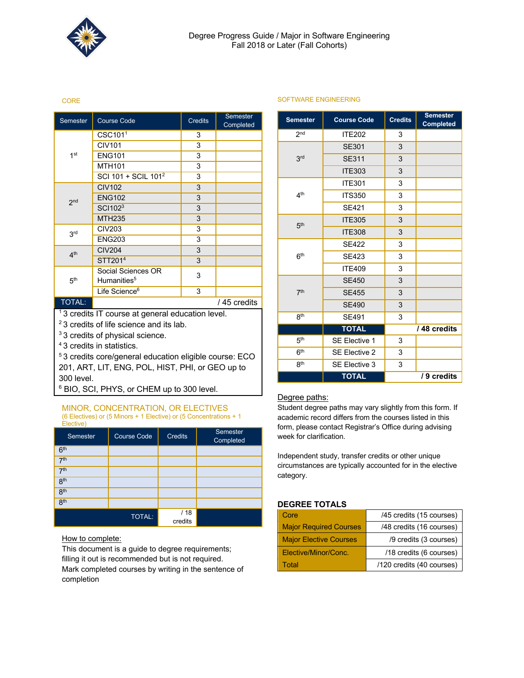

#### CORE

| Semester                                                     | <b>Course Code</b>                            | <b>Credits</b> | <b>Semester</b><br>Completed |
|--------------------------------------------------------------|-----------------------------------------------|----------------|------------------------------|
|                                                              | CSC101 <sup>1</sup>                           | 3              |                              |
|                                                              | <b>CIV101</b>                                 | 3              |                              |
| 1 <sup>st</sup>                                              | <b>ENG101</b>                                 | 3              |                              |
|                                                              | <b>MTH101</b>                                 | 3              |                              |
|                                                              | SCI 101 + SCIL 101 <sup>2</sup>               | 3              |                              |
|                                                              | <b>CIV102</b>                                 | 3              |                              |
| 2 <sub>nd</sub>                                              | <b>ENG102</b>                                 | 3              |                              |
|                                                              | SCI1023                                       | 3              |                              |
|                                                              | <b>MTH235</b>                                 | 3              |                              |
| 3rd                                                          | <b>CIV203</b>                                 | 3              |                              |
|                                                              | <b>ENG203</b>                                 | 3              |                              |
| 4 <sup>th</sup>                                              | <b>CIV204</b>                                 | 3              |                              |
|                                                              | STT201 <sup>4</sup>                           | 3              |                              |
| 5 <sup>th</sup>                                              | Social Sciences OR<br>Humanities <sup>5</sup> | 3              |                              |
|                                                              | Life Science <sup>6</sup>                     | 3              |                              |
| <b>TOTAL:</b>                                                | / 45 credits                                  |                |                              |
| <sup>1</sup> 3 credits IT course at general education level. |                                               |                |                              |
| <sup>2</sup> 3 credits of life science and its lab.          |                                               |                |                              |
| <sup>3</sup> 3 credits of physical science.                  |                                               |                |                              |

4 3 credits in statistics.

5 3 credits core/general education eligible course: ECO 201, ART, LIT, ENG, POL, HIST, PHI, or GEO up to 300 level.

<sup>6</sup> BIO, SCI, PHYS, or CHEM up to 300 level.

#### MINOR, CONCENTRATION, OR ELECTIVES (6 Electives) or (5 Minors + 1 Elective) or (5 Concentrations + 1 Elective)

| Semester        | <b>Course Code</b> | <b>Credits</b>  | Semester<br>Completed |
|-----------------|--------------------|-----------------|-----------------------|
| 6 <sup>th</sup> |                    |                 |                       |
| 7 <sup>th</sup> |                    |                 |                       |
| 7 <sup>th</sup> |                    |                 |                       |
| 8 <sup>th</sup> |                    |                 |                       |
| 8 <sup>th</sup> |                    |                 |                       |
| 8 <sup>th</sup> |                    |                 |                       |
|                 | <b>TOTAL:</b>      | / 18<br>credits |                       |

How to complete:

This document is a guide to degree requirements; filling it out is recommended but is not required. Mark completed courses by writing in the sentence of completion

|  | SOFTWARE ENGINEERING |
|--|----------------------|
|  |                      |

| <b>Semester</b> | <b>Course Code</b>   | <b>Credits</b> | <b>Semester</b><br><b>Completed</b> |
|-----------------|----------------------|----------------|-------------------------------------|
| 2 <sub>nd</sub> | <b>ITE202</b>        | 3              |                                     |
|                 | <b>SE301</b>         | 3              |                                     |
| 3 <sup>rd</sup> | <b>SE311</b>         | 3              |                                     |
|                 | <b>ITE303</b>        | 3              |                                     |
|                 | <b>ITE301</b>        | 3              |                                     |
| 4 <sup>th</sup> | <b>ITS350</b>        | 3              |                                     |
|                 | <b>SE421</b>         | 3              |                                     |
| 5 <sup>th</sup> | <b>ITE305</b>        | 3              |                                     |
|                 | <b>ITE308</b>        | 3              |                                     |
|                 | <b>SE422</b>         | 3              |                                     |
| 6 <sup>th</sup> | <b>SE423</b>         | 3              |                                     |
|                 | <b>ITE409</b>        | 3              |                                     |
|                 | <b>SE450</b>         | 3              |                                     |
| 7 <sup>th</sup> | <b>SE455</b>         | 3              |                                     |
|                 | <b>SE490</b>         | 3              |                                     |
| 8 <sup>th</sup> | <b>SE491</b>         | 3              |                                     |
|                 | <b>TOTAL</b>         |                | / 48 credits                        |
| 5 <sup>th</sup> | <b>SE Elective 1</b> | 3              |                                     |
| 6 <sup>th</sup> | <b>SE Elective 2</b> | 3              |                                     |
| <b>gth</b>      | SE Elective 3        | 3              |                                     |
|                 | <b>TOTAL</b>         |                | / 9 credits                         |

## Degree paths:

Student degree paths may vary slightly from this form. If academic record differs from the courses listed in this form, please contact Registrar's Office during advising week for clarification.

Independent study, transfer credits or other unique circumstances are typically accounted for in the elective category.

## **DEGREE TOTALS**

| Core                          | /45 credits (15 courses)  |
|-------------------------------|---------------------------|
| <b>Major Required Courses</b> | /48 credits (16 courses)  |
| <b>Major Elective Courses</b> | /9 credits (3 courses)    |
| Elective/Minor/Conc.          | /18 credits (6 courses)   |
| Total                         | /120 credits (40 courses) |